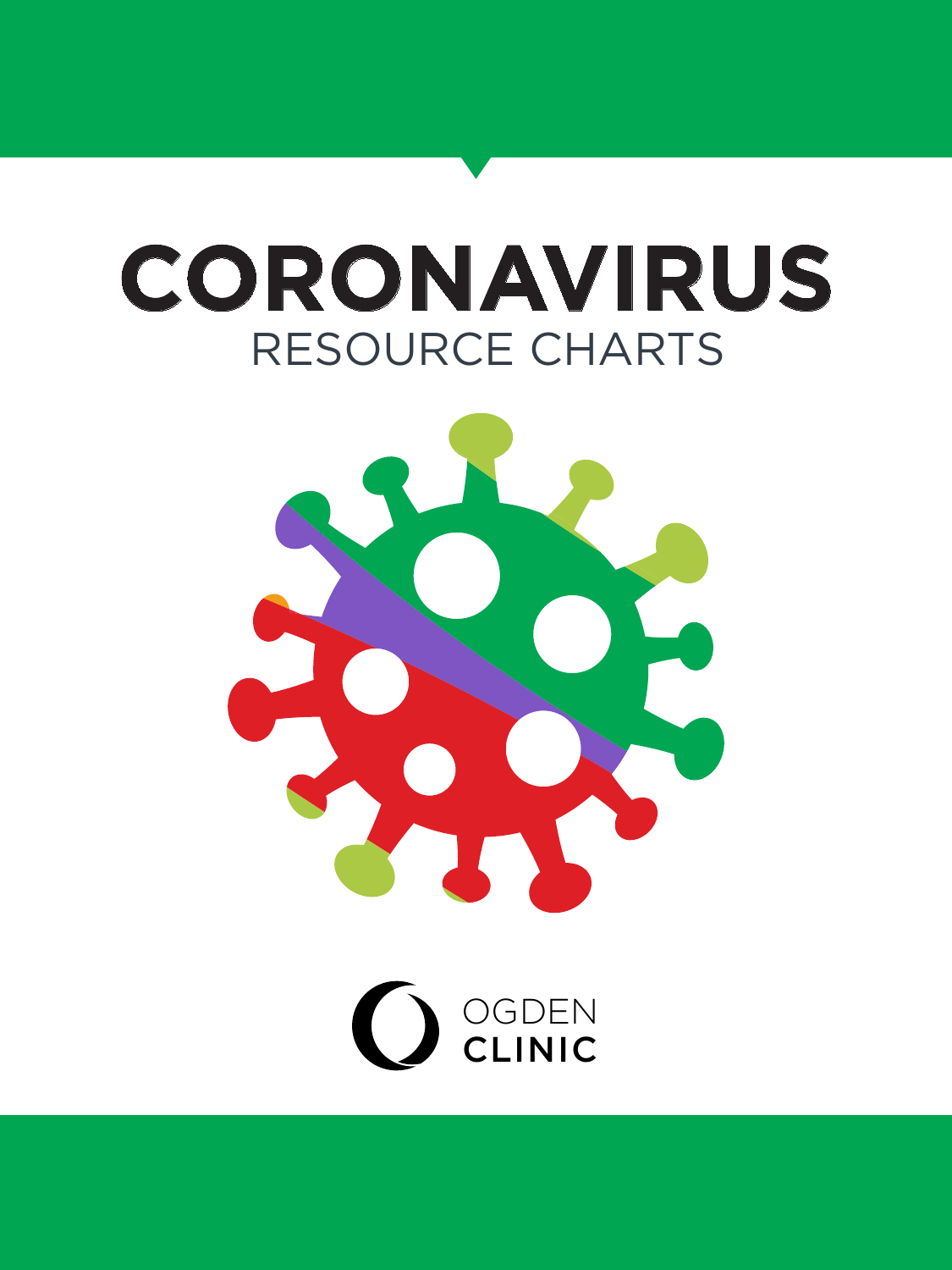# RESOURCE CHARTS **CORONAVIRUS**



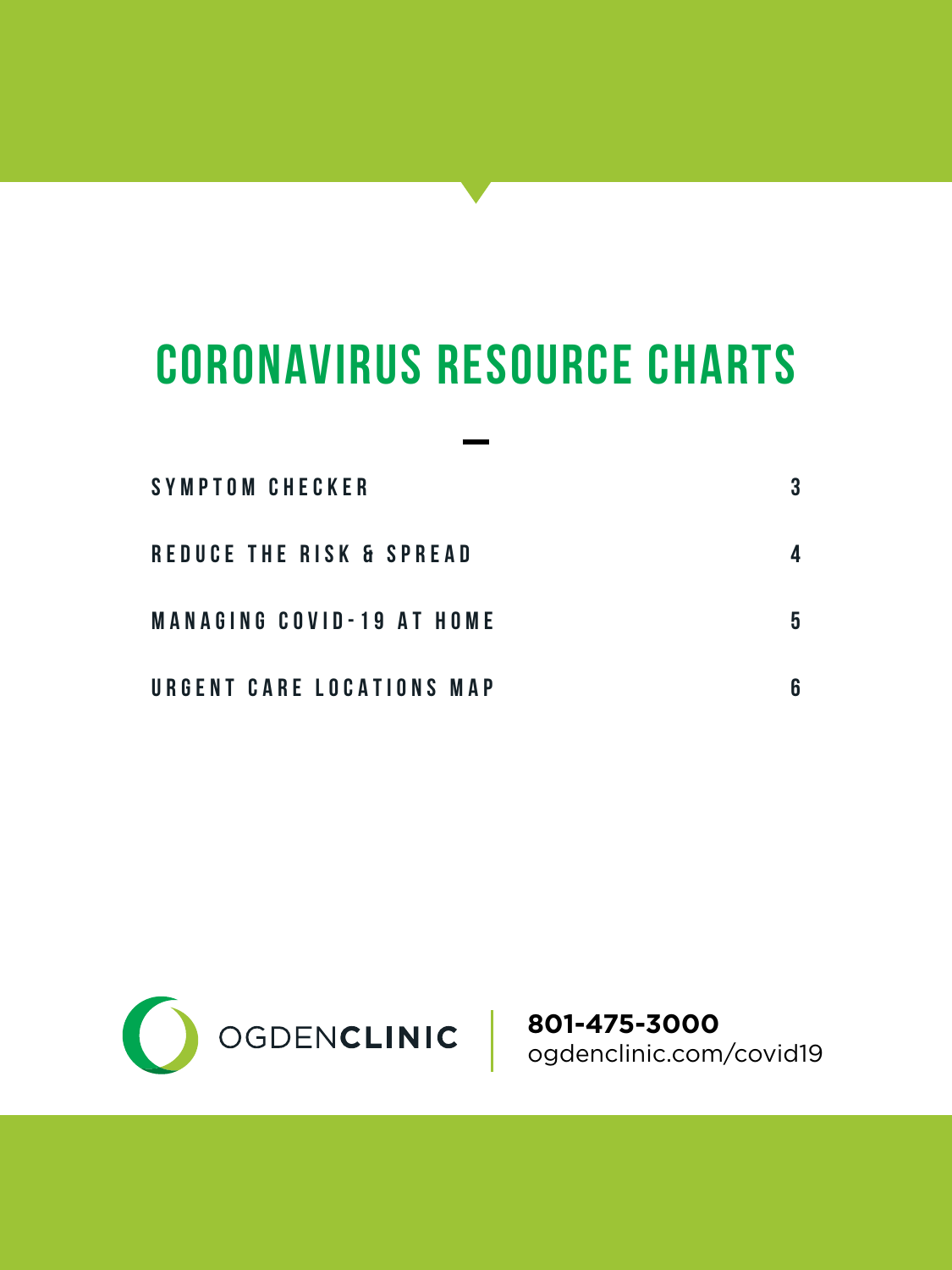### **CORONAVIRUS RESOURCE CHARTS**

| SYMPTOM CHECKER                  | 3 |
|----------------------------------|---|
| REDUCE THE RISK & SPREAD         |   |
| <b>MANAGING COVID-19 AT HOME</b> | 5 |
| URGENT CARE LOCATIONS MAP        | 6 |



**801-475-3000** ogdenclinic.com/covid19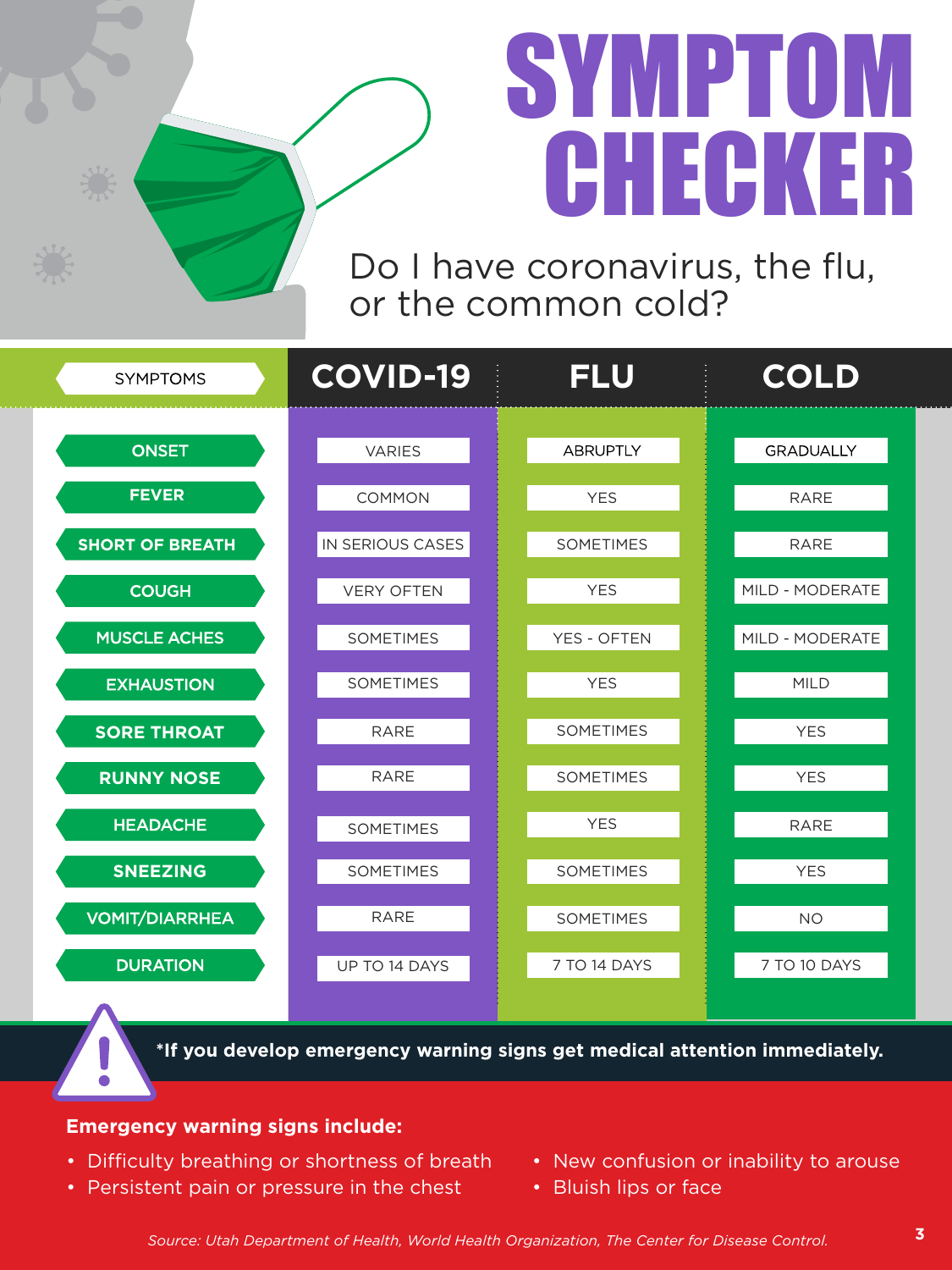# SYMPTOM **CHECKER**

Do I have coronavirus, the flu, or the common cold?

| <b>SYMPTOMS</b>        | <b>COVID-19</b>   | <b>FLU</b>         | COLD             |
|------------------------|-------------------|--------------------|------------------|
| <b>ONSET</b>           | <b>VARIES</b>     | <b>ABRUPTLY</b>    | <b>GRADUALLY</b> |
| <b>FEVER</b>           | <b>COMMON</b>     | <b>YES</b>         | <b>RARE</b>      |
| <b>SHORT OF BREATH</b> | IN SERIOUS CASES  | <b>SOMETIMES</b>   | <b>RARE</b>      |
| <b>COUGH</b>           | <b>VERY OFTEN</b> | <b>YES</b>         | MILD - MODERATE  |
| <b>MUSCLE ACHES</b>    | <b>SOMETIMES</b>  | <b>YES - OFTEN</b> | MILD - MODERATE  |
| <b>EXHAUSTION</b>      | <b>SOMETIMES</b>  | <b>YES</b>         | <b>MILD</b>      |
| <b>SORE THROAT</b>     | <b>RARE</b>       | <b>SOMETIMES</b>   | <b>YES</b>       |
| <b>RUNNY NOSE</b>      | <b>RARE</b>       | <b>SOMETIMES</b>   | <b>YES</b>       |
| <b>HEADACHE</b>        | <b>SOMETIMES</b>  | <b>YES</b>         | <b>RARE</b>      |
| <b>SNEEZING</b>        | <b>SOMETIMES</b>  | <b>SOMETIMES</b>   | <b>YES</b>       |
| <b>VOMIT/DIARRHEA</b>  | RARE              | <b>SOMETIMES</b>   | <b>NO</b>        |
| <b>DURATION</b>        | UP TO 14 DAYS     | 7 TO 14 DAYS       | 7 TO 10 DAYS     |
|                        |                   |                    |                  |

**\*If you develop emergency warning signs get medical attention immediately.** 

#### **Emergency warning signs include:**

- Difficulty breathing or shortness of breath
- Persistent pain or pressure in the chest
- New confusion or inability to arouse
- Bluish lips or face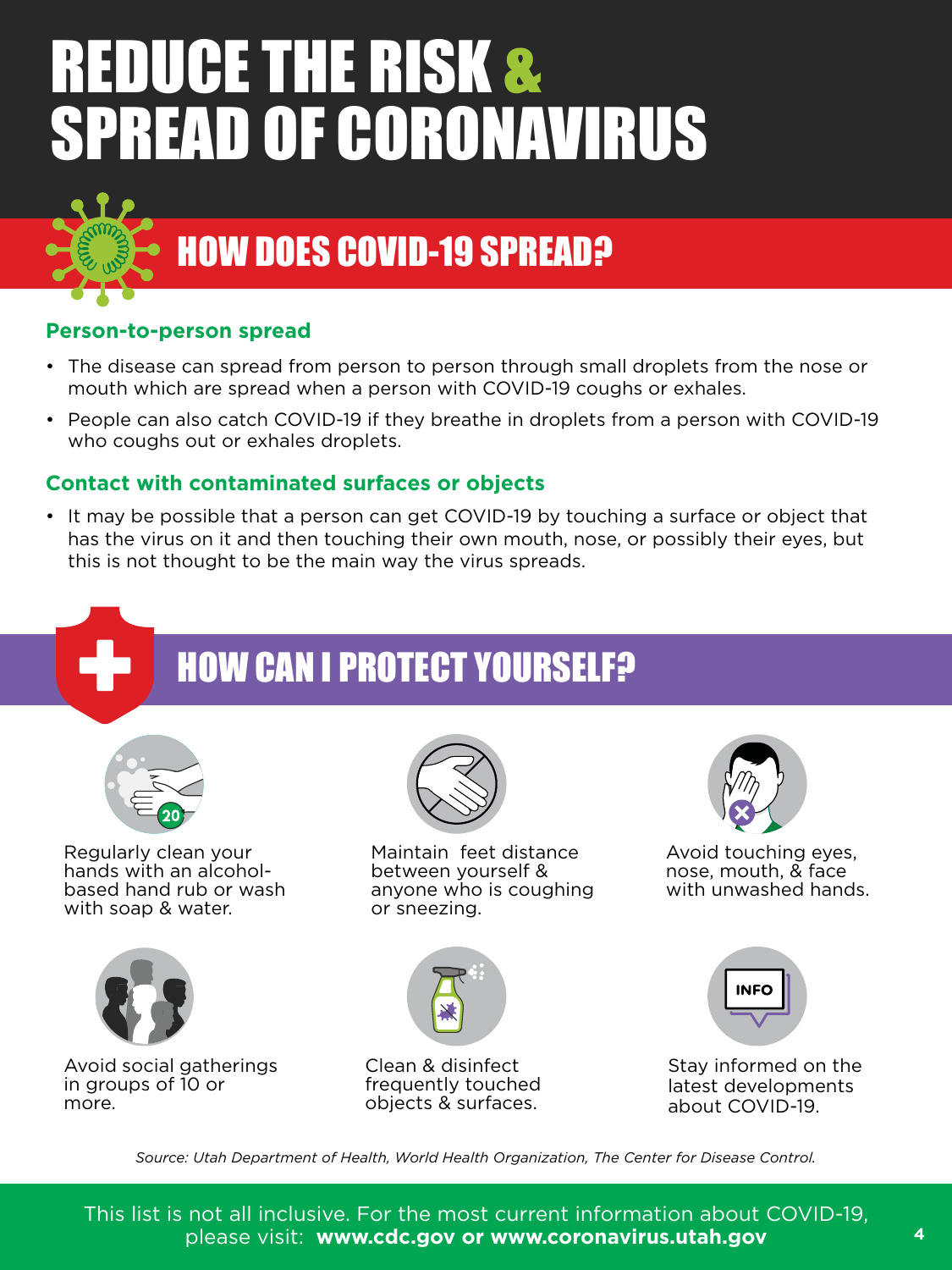# REDUCE THE RISK & SPREAD OF CORONAVIRUS



### HOW DOES COVID-19 SPREAD?

#### **Person-to-person spread**

- The disease can spread from person to person through small droplets from the nose or mouth which are spread when a person with COVID-19 coughs or exhales.
- People can also catch COVID-19 if they breathe in droplets from a person with COVID-19 who coughs out or exhales droplets.

#### **Contact with contaminated surfaces or objects**

• It may be possible that a person can get COVID-19 by touching a surface or object that has the virus on it and then touching their own mouth, nose, or possibly their eyes, but this is not thought to be the main way the virus spreads.

### **HOW CAN I PROTECT YOURSELF?**



Regularly clean your hands with an alcoholbased hand rub or wash with soap & water.



Avoid social gatherings in groups of 10 or more.



Maintain feet distance between yourself & anyone who is coughing or sneezing.



Clean & disinfect frequently touched objects & surfaces.



Avoid touching eyes, nose, mouth, & face with unwashed hands.



Stay informed on the latest developments about COVID-19.

*Source: Utah Department of Health, World Health Organization, The Center for Disease Control.*

This list is not all inclusive. For the most current information about COVID-19, please visit: **www.cdc.gov or www.coronavirus.utah.gov**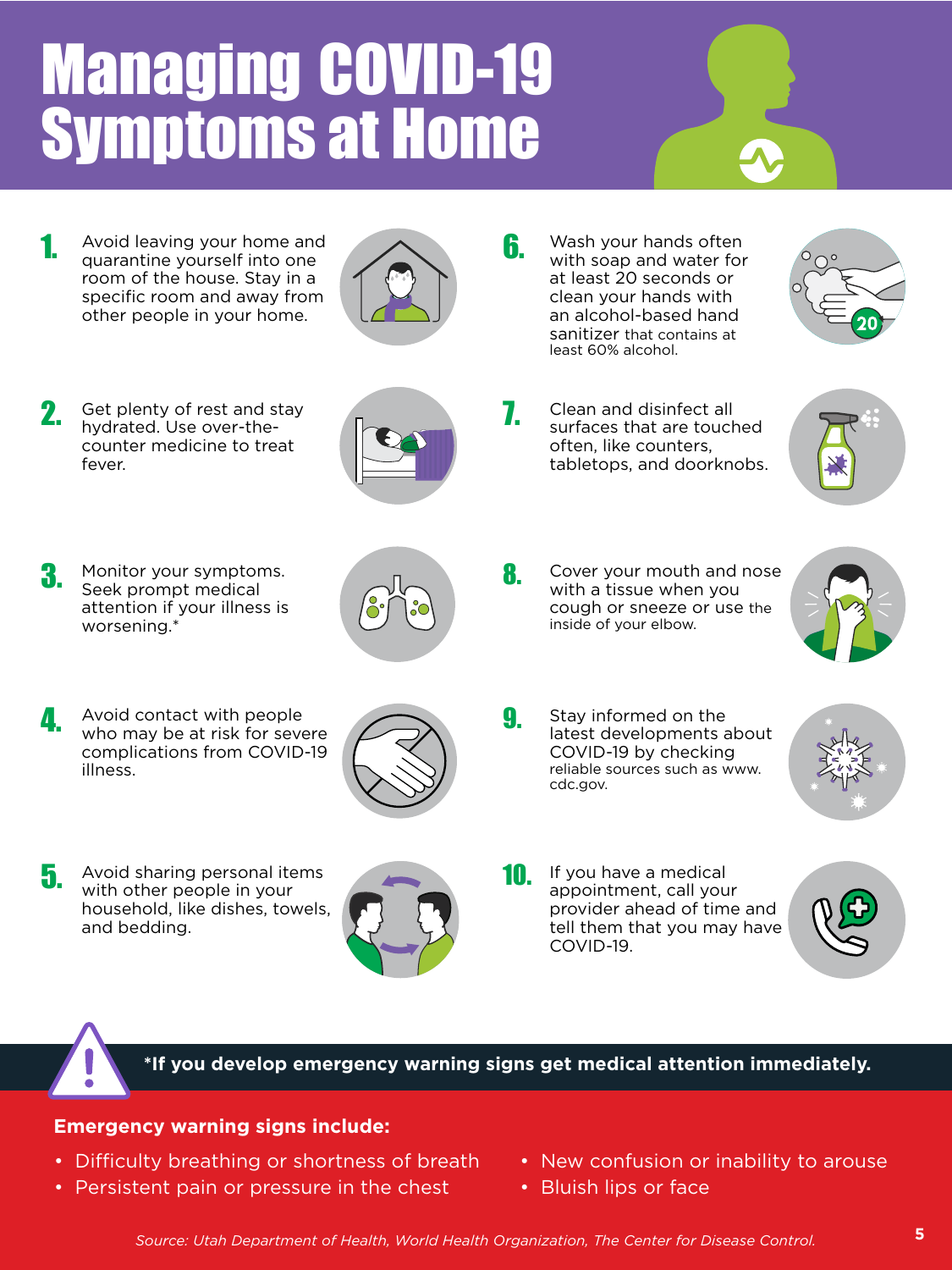# Managing COVID-19 Symptoms at Home

1. Avoid leaving your home and **6.** Constantine vourself into one **6.** quarantine yourself into one room of the house. Stay in a specific room and away from other people in your home.



2. Get plenty of rest and stay<br>hydrated. Use over-thehydrated. Use over-thecounter medicine to treat fever.



3. Monitor your symptoms.<br>
Seek prompt medical Seek prompt medical attention if your illness is worsening.\*



A void contact with people<br>Who may be at risk for severe Avoid contact with people complications from COVID-19 illness.



5. Avoid sharing personal items **10.**<br>Writing the records in your with other people in your household, like dishes, towels, and bedding.



Wash your hands often with soap and water for at least 20 seconds or clean your hands with an alcohol-based hand sanitizer that contains at least 60% alcohol.

Clean and disinfect all surfaces that are touched often, like counters, tabletops, and doorknobs.





Cover your mouth and nose with a tissue when you cough or sneeze or use the inside of your elbow.



Stay informed on the latest developments about COVID-19 by checking reliable sources such as www. cdc.gov.









**\*If you develop emergency warning signs get medical attention immediately.** 

#### **Emergency warning signs include:**

- Difficulty breathing or shortness of breath
- Persistent pain or pressure in the chest
- New confusion or inability to arouse
- Bluish lips or face

*Source: Utah Department of Health, World Health Organization, The Center for Disease Control.* **5**